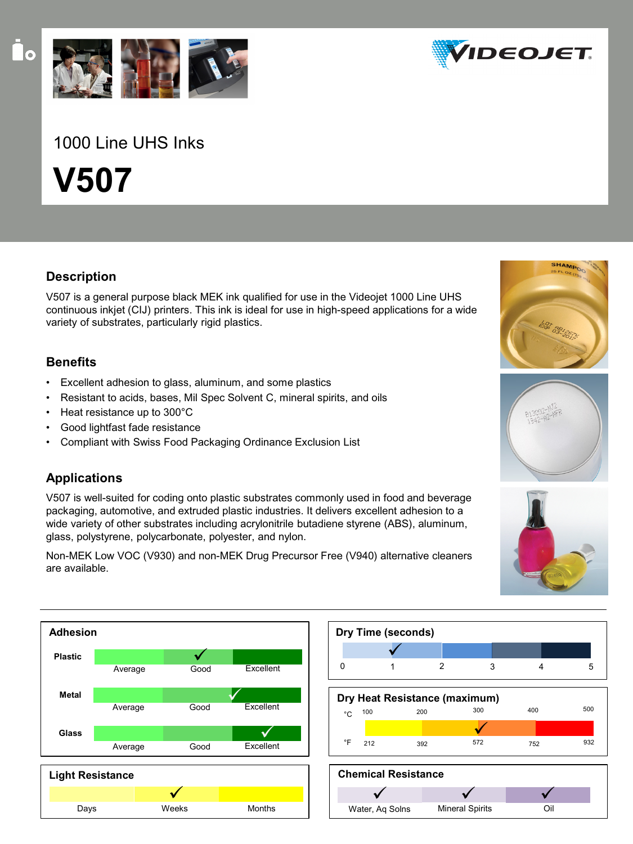

# 1000 Line UHS Inks

**V507**

# **Description**

V507 is a general purpose black MEK ink qualified for use in the Videojet 1000 Line UHS continuous inkjet (CIJ) printers. This ink is ideal for use in high-speed applications for a wide variety of substrates, particularly rigid plastics.

### **Benefits**

- Excellent adhesion to glass, aluminum, and some plastics
- Resistant to acids, bases, Mil Spec Solvent C, mineral spirits, and oils
- Heat resistance up to 300°C
- Good lightfast fade resistance
- Compliant with Swiss Food Packaging Ordinance Exclusion List

# **Applications**

V507 is well-suited for coding onto plastic substrates commonly used in food and beverage packaging, automotive, and extruded plastic industries. It delivers excellent adhesion to a wide variety of other substrates including acrylonitrile butadiene styrene (ABS), aluminum, glass, polystyrene, polycarbonate, polyester, and nylon.

Non-MEK Low VOC (V930) and non-MEK Drug Precursor Free (V940) alternative cleaners are available.





**Mineral Spirits** 

Water, Aq Solns







Oil